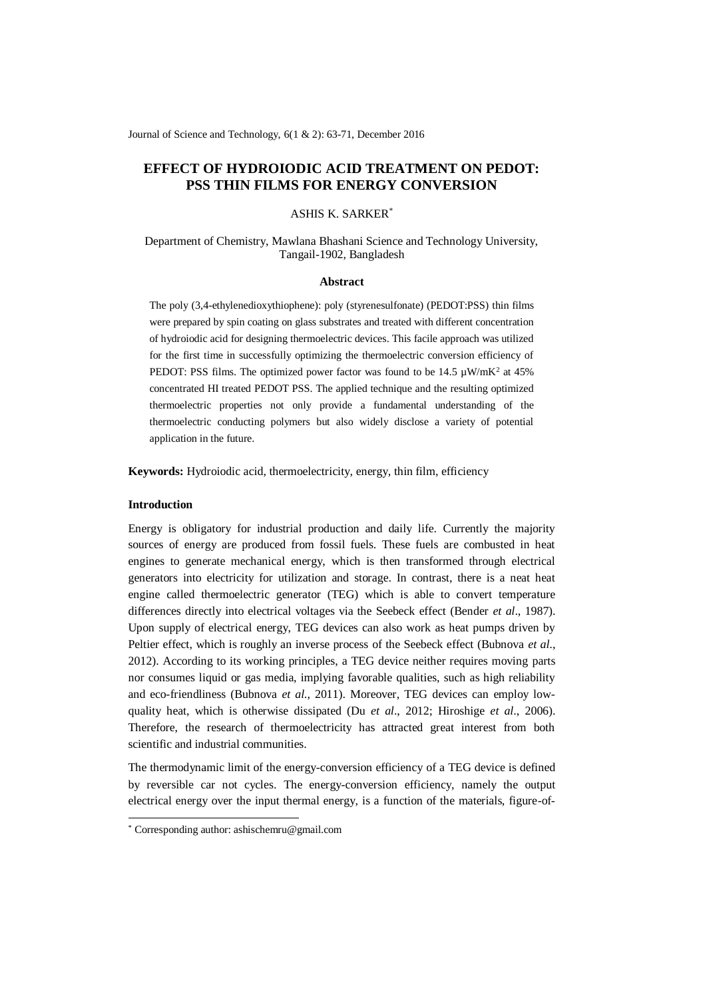Journal of Science and Technology, 6(1 & 2): 63-71, December 2016

# **EFFECT OF HYDROIODIC ACID TREATMENT ON PEDOT: PSS THIN FILMS FOR ENERGY CONVERSION**

# ASHIS K. SARKER\*

Department of Chemistry, Mawlana Bhashani Science and Technology University, Tangail-1902, Bangladesh

#### **Abstract**

The poly (3,4-ethylenedioxythiophene): poly (styrenesulfonate) (PEDOT:PSS) thin films were prepared by spin coating on glass substrates and treated with different concentration of hydroiodic acid for designing thermoelectric devices. This facile approach was utilized for the first time in successfully optimizing the thermoelectric conversion efficiency of PEDOT: PSS films. The optimized power factor was found to be  $14.5 \mu W/mK^2$  at  $45\%$ concentrated HI treated PEDOT PSS. The applied technique and the resulting optimized thermoelectric properties not only provide a fundamental understanding of the thermoelectric conducting polymers but also widely disclose a variety of potential application in the future.

**Keywords:** Hydroiodic acid, thermoelectricity, energy, thin film, efficiency

# **Introduction**

-

Energy is obligatory for industrial production and daily life. Currently the majority sources of energy are produced from fossil fuels. These fuels are combusted in heat engines to generate mechanical energy, which is then transformed through electrical generators into electricity for utilization and storage. In contrast, there is a neat heat engine called thermoelectric generator (TEG) which is able to convert temperature differences directly into electrical voltages via the Seebeck effect (Bender *et al*., 1987). Upon supply of electrical energy, TEG devices can also work as heat pumps driven by Peltier effect, which is roughly an inverse process of the Seebeck effect (Bubnova *et al*., 2012). According to its working principles, a TEG device neither requires moving parts nor consumes liquid or gas media, implying favorable qualities, such as high reliability and eco-friendliness (Bubnova *et al*., 2011). Moreover, TEG devices can employ lowquality heat, which is otherwise dissipated (Du *et al*., 2012; Hiroshige *et al*., 2006). Therefore, the research of thermoelectricity has attracted great interest from both scientific and industrial communities.

The thermodynamic limit of the energy-conversion efficiency of a TEG device is defined by reversible car not cycles. The energy-conversion efficiency, namely the output electrical energy over the input thermal energy, is a function of the materials, figure-of-

<sup>\*</sup> Corresponding author[: ashischemru@gmail.com](mailto:ashischemru@gmail.com)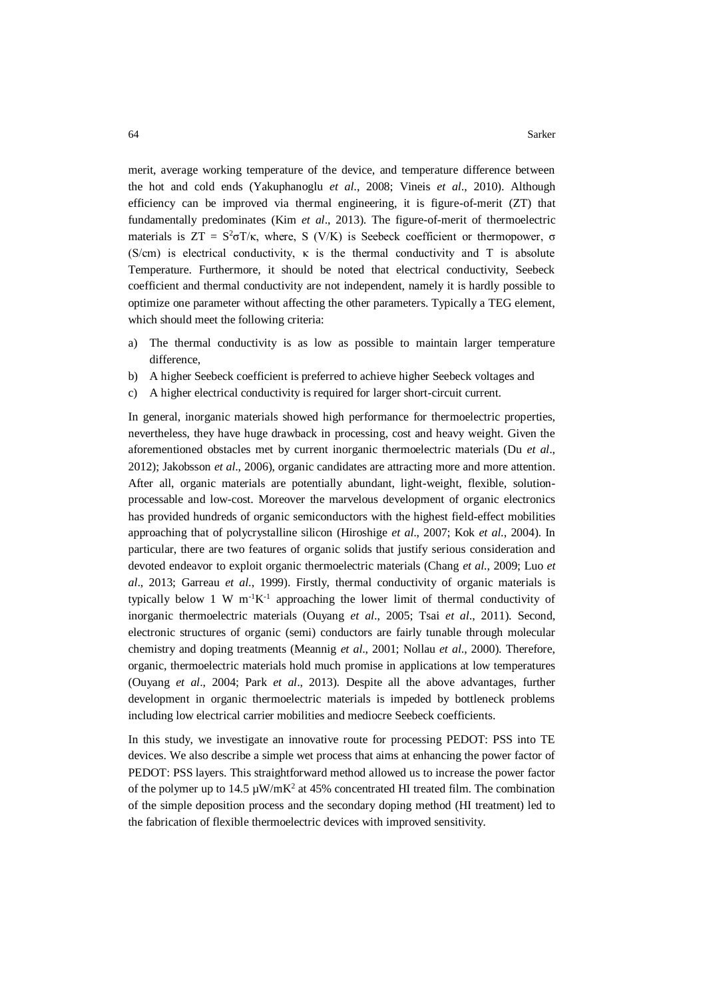merit, average working temperature of the device, and temperature difference between the hot and cold ends (Yakuphanoglu *et al*., 2008; Vineis *et al*., 2010). Although efficiency can be improved via thermal engineering, it is figure-of-merit (ZT) that fundamentally predominates (Kim *et al*., 2013). The figure-of-merit of thermoelectric materials is  $ZT = S^2 \sigma T / \kappa$ , where, S (V/K) is Seebeck coefficient or thermopower,  $\sigma$ (S/cm) is electrical conductivity,  $\kappa$  is the thermal conductivity and T is absolute Temperature. Furthermore, it should be noted that electrical conductivity, Seebeck coefficient and thermal conductivity are not independent, namely it is hardly possible to optimize one parameter without affecting the other parameters. Typically a TEG element, which should meet the following criteria:

- a) The thermal conductivity is as low as possible to maintain larger temperature difference,
- b) A higher Seebeck coefficient is preferred to achieve higher Seebeck voltages and
- c) A higher electrical conductivity is required for larger short-circuit current.

In general, inorganic materials showed high performance for thermoelectric properties, nevertheless, they have huge drawback in processing, cost and heavy weight. Given the aforementioned obstacles met by current inorganic thermoelectric materials (Du *et al*., 2012); Jakobsson *et al*., 2006), organic candidates are attracting more and more attention. After all, organic materials are potentially abundant, light-weight, flexible, solutionprocessable and low-cost. Moreover the marvelous development of organic electronics has provided hundreds of organic semiconductors with the highest field-effect mobilities approaching that of polycrystalline silicon (Hiroshige *et al*., 2007; Kok *et al*., 2004). In particular, there are two features of organic solids that justify serious consideration and devoted endeavor to exploit organic thermoelectric materials (Chang *et al*., 2009; Luo *et al*., 2013; Garreau *et al*., 1999). Firstly, thermal conductivity of organic materials is typically below 1 W  $m^{-1}K^{-1}$  approaching the lower limit of thermal conductivity of inorganic thermoelectric materials (Ouyang *et al*., 2005; Tsai *et al*., 2011). Second, electronic structures of organic (semi) conductors are fairly tunable through molecular chemistry and doping treatments (Meannig *et al*., 2001; Nollau *et al*., 2000). Therefore, organic, thermoelectric materials hold much promise in applications at low temperatures (Ouyang *et al*., 2004; Park *et al*., 2013). Despite all the above advantages, further development in organic thermoelectric materials is impeded by bottleneck problems including low electrical carrier mobilities and mediocre Seebeck coefficients.

In this study, we investigate an innovative route for processing PEDOT: PSS into TE devices. We also describe a simple wet process that aims at enhancing the power factor of PEDOT: PSS layers. This straightforward method allowed us to increase the power factor of the polymer up to 14.5  $\mu$ W/mK<sup>2</sup> at 45% concentrated HI treated film. The combination of the simple deposition process and the secondary doping method (HI treatment) led to the fabrication of flexible thermoelectric devices with improved sensitivity.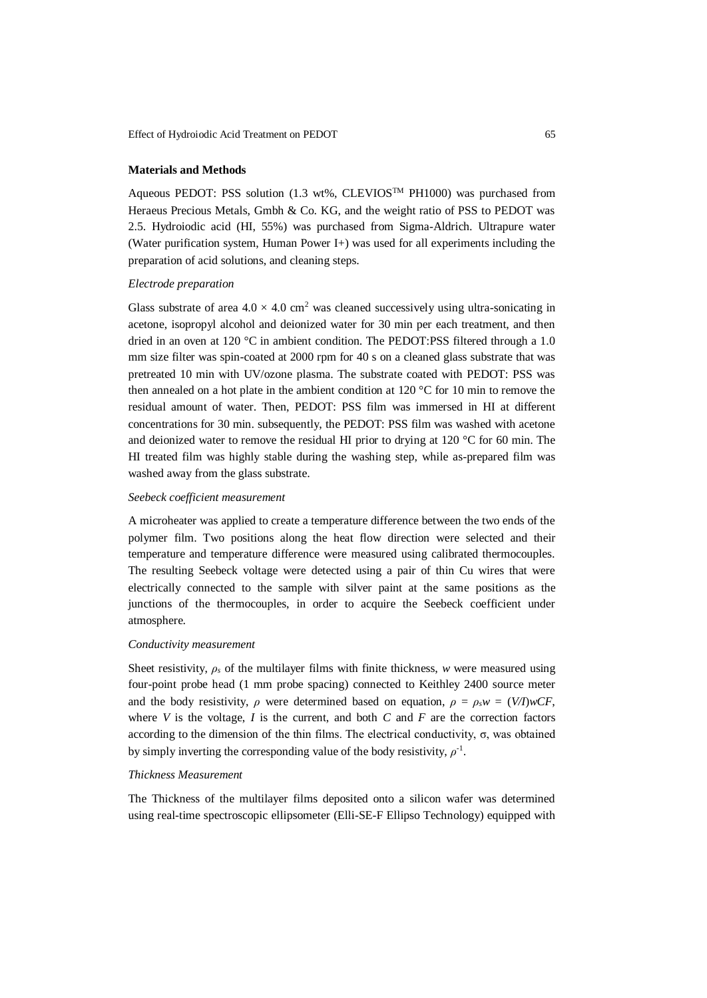# **Materials and Methods**

Aqueous PEDOT: PSS solution (1.3 wt%, CLEVIOSTM PH1000) was purchased from Heraeus Precious Metals, Gmbh & Co. KG, and the weight ratio of PSS to PEDOT was 2.5. Hydroiodic acid (HI, 55%) was purchased from Sigma-Aldrich. Ultrapure water (Water purification system, Human Power I+) was used for all experiments including the preparation of acid solutions, and cleaning steps.

## *Electrode preparation*

Glass substrate of area  $4.0 \times 4.0$  cm<sup>2</sup> was cleaned successively using ultra-sonicating in acetone, isopropyl alcohol and deionized water for 30 min per each treatment, and then dried in an oven at 120 °C in ambient condition. The PEDOT:PSS filtered through a 1.0 mm size filter was spin-coated at 2000 rpm for 40 s on a cleaned glass substrate that was pretreated 10 min with UV/ozone plasma. The substrate coated with PEDOT: PSS was then annealed on a hot plate in the ambient condition at 120 °C for 10 min to remove the residual amount of water. Then, PEDOT: PSS film was immersed in HI at different concentrations for 30 min. subsequently, the PEDOT: PSS film was washed with acetone and deionized water to remove the residual HI prior to drying at 120 °C for 60 min. The HI treated film was highly stable during the washing step, while as-prepared film was washed away from the glass substrate.

# *Seebeck coefficient measurement*

A microheater was applied to create a temperature difference between the two ends of the polymer film. Two positions along the heat flow direction were selected and their temperature and temperature difference were measured using calibrated thermocouples. The resulting Seebeck voltage were detected using a pair of thin Cu wires that were electrically connected to the sample with silver paint at the same positions as the junctions of the thermocouples, in order to acquire the Seebeck coefficient under atmosphere.

# *Conductivity measurement*

Sheet resistivity,  $\rho_s$  of the multilayer films with finite thickness, *w* were measured using four-point probe head (1 mm probe spacing) connected to Keithley 2400 source meter and the body resistivity,  $\rho$  were determined based on equation,  $\rho = \rho_s w = (V/T)wCF$ , where  $V$  is the voltage,  $I$  is the current, and both  $C$  and  $F$  are the correction factors according to the dimension of the thin films. The electrical conductivity, σ, was obtained by simply inverting the corresponding value of the body resistivity,  $\rho$ <sup>-1</sup>.

## *Thickness Measurement*

The Thickness of the multilayer films deposited onto a silicon wafer was determined using real-time spectroscopic ellipsometer (Elli-SE-F Ellipso Technology) equipped with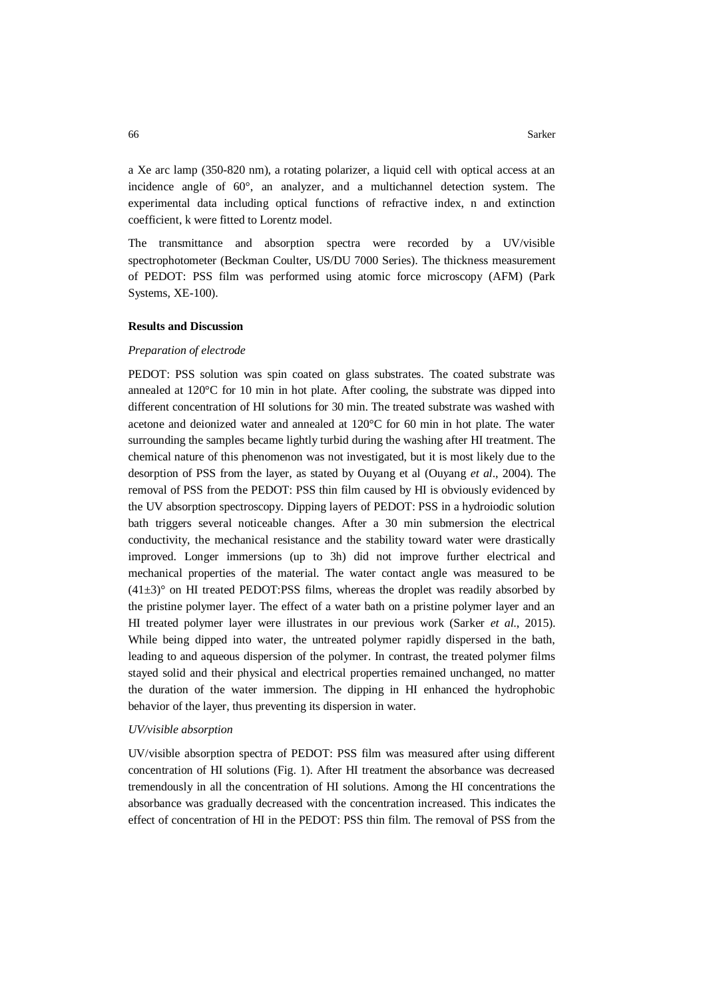a Xe arc lamp (350-820 nm), a rotating polarizer, a liquid cell with optical access at an incidence angle of 60°, an analyzer, and a multichannel detection system. The experimental data including optical functions of refractive index, n and extinction coefficient, k were fitted to Lorentz model.

The transmittance and absorption spectra were recorded by a UV/visible spectrophotometer (Beckman Coulter, US/DU 7000 Series). The thickness measurement of PEDOT: PSS film was performed using atomic force microscopy (AFM) (Park Systems, XE-100).

#### **Results and Discussion**

## *Preparation of electrode*

PEDOT: PSS solution was spin coated on glass substrates. The coated substrate was annealed at  $120^{\circ}$ C for 10 min in hot plate. After cooling, the substrate was dipped into different concentration of HI solutions for 30 min. The treated substrate was washed with acetone and deionized water and annealed at 120°C for 60 min in hot plate. The water surrounding the samples became lightly turbid during the washing after HI treatment. The chemical nature of this phenomenon was not investigated, but it is most likely due to the desorption of PSS from the layer, as stated by Ouyang et al (Ouyang *et al*., 2004). The removal of PSS from the PEDOT: PSS thin film caused by HI is obviously evidenced by the UV absorption spectroscopy. Dipping layers of PEDOT: PSS in a hydroiodic solution bath triggers several noticeable changes. After a 30 min submersion the electrical conductivity, the mechanical resistance and the stability toward water were drastically improved. Longer immersions (up to 3h) did not improve further electrical and mechanical properties of the material. The water contact angle was measured to be  $(41\pm3)$ ° on HI treated PEDOT:PSS films, whereas the droplet was readily absorbed by the pristine polymer layer. The effect of a water bath on a pristine polymer layer and an HI treated polymer layer were illustrates in our previous work (Sarker *et al*., 2015). While being dipped into water, the untreated polymer rapidly dispersed in the bath, leading to and aqueous dispersion of the polymer. In contrast, the treated polymer films stayed solid and their physical and electrical properties remained unchanged, no matter the duration of the water immersion. The dipping in HI enhanced the hydrophobic behavior of the layer, thus preventing its dispersion in water.

#### *UV/visible absorption*

UV/visible absorption spectra of PEDOT: PSS film was measured after using different concentration of HI solutions (Fig. 1). After HI treatment the absorbance was decreased tremendously in all the concentration of HI solutions. Among the HI concentrations the absorbance was gradually decreased with the concentration increased. This indicates the effect of concentration of HI in the PEDOT: PSS thin film. The removal of PSS from the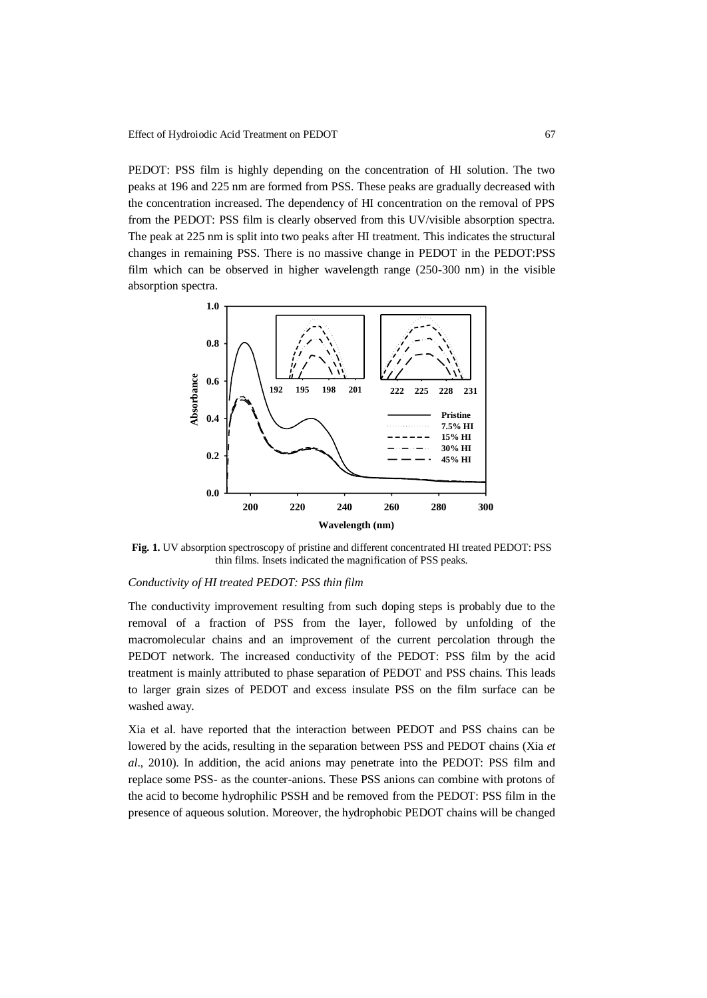PEDOT: PSS film is highly depending on the concentration of HI solution. The two peaks at 196 and 225 nm are formed from PSS. These peaks are gradually decreased with the concentration increased. The dependency of HI concentration on the removal of PPS from the PEDOT: PSS film is clearly observed from this UV/visible absorption spectra. The peak at 225 nm is split into two peaks after HI treatment. This indicates the structural changes in remaining PSS. There is no massive change in PEDOT in the PEDOT:PSS film which can be observed in higher wavelength range (250-300 nm) in the visible absorption spectra.



**Fig. 1.** UV absorption spectroscopy of pristine and different concentrated HI treated PEDOT: PSS thin films. Insets indicated the magnification of PSS peaks.

#### *Conductivity of HI treated PEDOT: PSS thin film*

The conductivity improvement resulting from such doping steps is probably due to the removal of a fraction of PSS from the layer, followed by unfolding of the macromolecular chains and an improvement of the current percolation through the PEDOT network. The increased conductivity of the PEDOT: PSS film by the acid treatment is mainly attributed to phase separation of PEDOT and PSS chains. This leads to larger grain sizes of PEDOT and excess insulate PSS on the film surface can be washed away.

Xia et al. have reported that the interaction between PEDOT and PSS chains can be lowered by the acids, resulting in the separation between PSS and PEDOT chains (Xia *et al*., 2010). In addition, the acid anions may penetrate into the PEDOT: PSS film and replace some PSS- as the counter-anions. These PSS anions can combine with protons of the acid to become hydrophilic PSSH and be removed from the PEDOT: PSS film in the presence of aqueous solution. Moreover, the hydrophobic PEDOT chains will be changed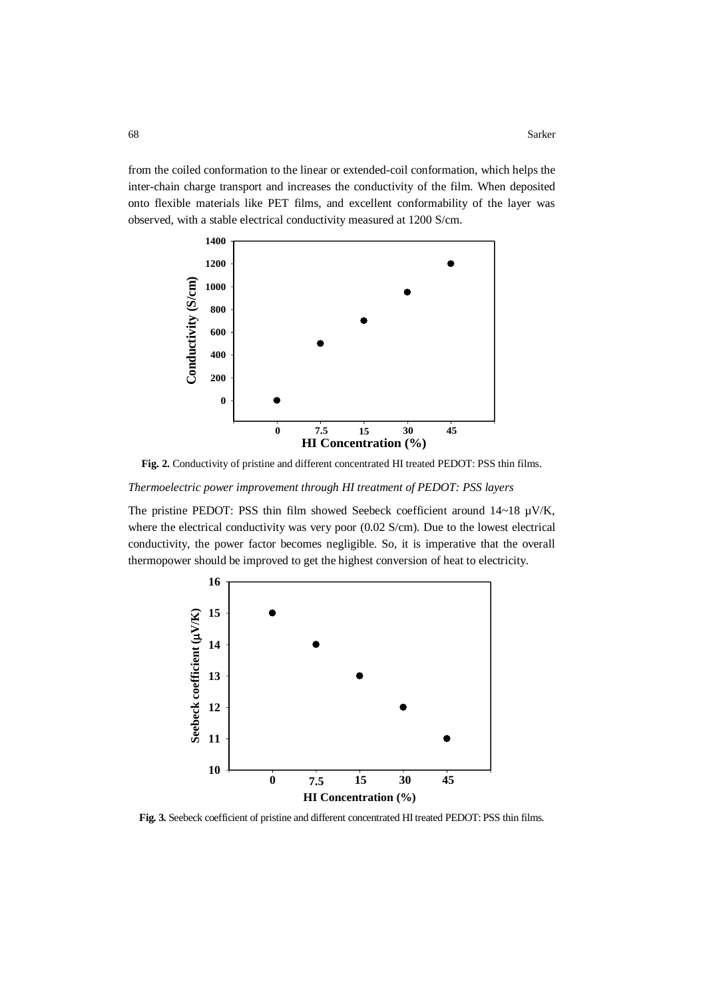from the coiled conformation to the linear or extended-coil conformation, which helps the inter-chain charge transport and increases the conductivity of the film. When deposited onto flexible materials like PET films, and excellent conformability of the layer was observed, with a stable electrical conductivity measured at 1200 S/cm.



**Fig. 2.** Conductivity of pristine and different concentrated HI treated PEDOT: PSS thin films.

*Thermoelectric power improvement through HI treatment of PEDOT: PSS layers*

The pristine PEDOT: PSS thin film showed Seebeck coefficient around 14~18 µV/K, where the electrical conductivity was very poor (0.02 S/cm). Due to the lowest electrical conductivity, the power factor becomes negligible. So, it is imperative that the overall thermopower should be improved to get the highest conversion of heat to electricity.



**Fig. 3.** Seebeck coefficient of pristine and different concentrated HI treated PEDOT: PSS thin films.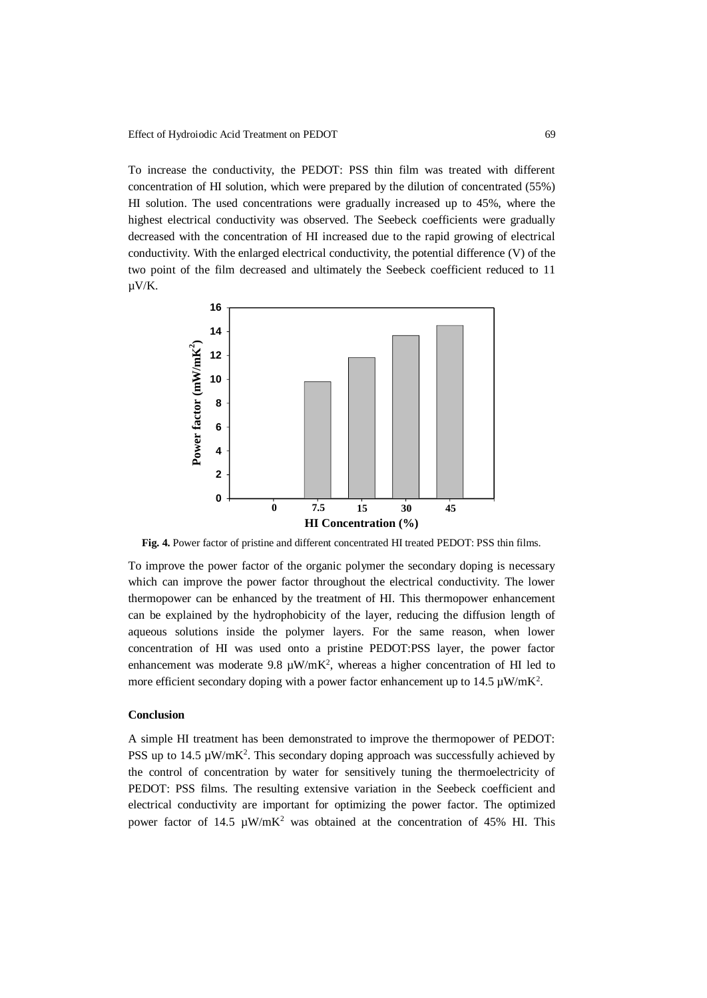To increase the conductivity, the PEDOT: PSS thin film was treated with different concentration of HI solution, which were prepared by the dilution of concentrated (55%) HI solution. The used concentrations were gradually increased up to 45%, where the highest electrical conductivity was observed. The Seebeck coefficients were gradually decreased with the concentration of HI increased due to the rapid growing of electrical conductivity. With the enlarged electrical conductivity, the potential difference (V) of the two point of the film decreased and ultimately the Seebeck coefficient reduced to 11 µV/K.



**Fig. 4.** Power factor of pristine and different concentrated HI treated PEDOT: PSS thin films.

To improve the power factor of the organic polymer the secondary doping is necessary which can improve the power factor throughout the electrical conductivity. The lower thermopower can be enhanced by the treatment of HI. This thermopower enhancement can be explained by the hydrophobicity of the layer, reducing the diffusion length of aqueous solutions inside the polymer layers. For the same reason, when lower concentration of HI was used onto a pristine PEDOT:PSS layer, the power factor enhancement was moderate 9.8  $\mu$ W/mK<sup>2</sup>, whereas a higher concentration of HI led to more efficient secondary doping with a power factor enhancement up to  $14.5 \mu W/mK^2$ .

#### **Conclusion**

A simple HI treatment has been demonstrated to improve the thermopower of PEDOT: PSS up to  $14.5 \mu W/mK^2$ . This secondary doping approach was successfully achieved by the control of concentration by water for sensitively tuning the thermoelectricity of PEDOT: PSS films. The resulting extensive variation in the Seebeck coefficient and electrical conductivity are important for optimizing the power factor. The optimized power factor of 14.5  $\mu$ W/mK<sup>2</sup> was obtained at the concentration of 45% HI. This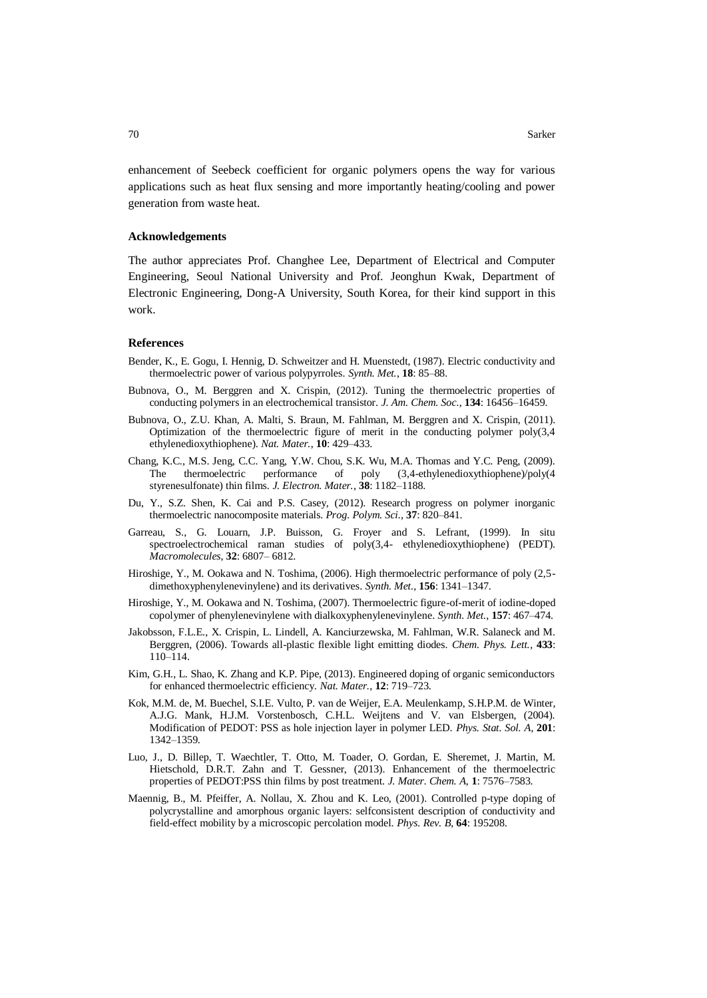enhancement of Seebeck coefficient for organic polymers opens the way for various applications such as heat flux sensing and more importantly heating/cooling and power generation from waste heat.

# **Acknowledgements**

The author appreciates Prof. Changhee Lee, Department of Electrical and Computer Engineering, Seoul National University and Prof. Jeonghun Kwak, Department of Electronic Engineering, Dong-A University, South Korea, for their kind support in this work.

#### **References**

- Bender, K., E. Gogu, I. Hennig, D. Schweitzer and H. Muenstedt, (1987). Electric conductivity and thermoelectric power of various polypyrroles. *Synth. Met.*, **18**: 85–88.
- Bubnova, O., M. Berggren and X. Crispin, (2012). Tuning the thermoelectric properties of conducting polymers in an electrochemical transistor. *J. Am. Chem. Soc.*, **134**: 16456–16459.
- Bubnova, O., Z.U. Khan, A. Malti, S. Braun, M. Fahlman, M. Berggren and X. Crispin, (2011). Optimization of the thermoelectric figure of merit in the conducting polymer  $poly(3,4)$ ethylenedioxythiophene). *Nat. Mater.*, **10**: 429–433.
- Chang, K.C., M.S. Jeng, C.C. Yang, Y.W. Chou, S.K. Wu, M.A. Thomas and Y.C. Peng, (2009). The thermoelectric performance of poly (3,4-ethylenedioxythiophene)/poly(4 styrenesulfonate) thin films. *J. Electron. Mater.*, **38**: 1182–1188.
- Du, Y., S.Z. Shen, K. Cai and P.S. Casey, (2012). Research progress on polymer inorganic thermoelectric nanocomposite materials. *Prog. Polym. Sci.*, **37**: 820–841.
- Garreau, S., G. Louarn, J.P. Buisson, G. Froyer and S. Lefrant, (1999). In situ spectroelectrochemical raman studies of poly(3,4- ethylenedioxythiophene) (PEDT). *Macromolecules*, **32**: 6807– 6812.
- Hiroshige, Y., M. Ookawa and N. Toshima, (2006). High thermoelectric performance of poly (2,5 dimethoxyphenylenevinylene) and its derivatives. *Synth. Met.*, **156**: 1341–1347.
- Hiroshige, Y., M. Ookawa and N. Toshima, (2007). Thermoelectric figure-of-merit of iodine-doped copolymer of phenylenevinylene with dialkoxyphenylenevinylene. *Synth. Met.*, **157**: 467–474.
- Jakobsson, F.L.E., X. Crispin, L. Lindell, A. Kanciurzewska, M. Fahlman, W.R. Salaneck and M. Berggren, (2006). Towards all-plastic flexible light emitting diodes. *Chem. Phys. Lett.*, **433**: 110–114.
- Kim, G.H., L. Shao, K. Zhang and K.P. Pipe, (2013). Engineered doping of organic semiconductors for enhanced thermoelectric efficiency. *Nat. Mater.*, **12**: 719–723.
- Kok, M.M. de, M. Buechel, S.I.E. Vulto, P. van de Weijer, E.A. Meulenkamp, S.H.P.M. de Winter, A.J.G. Mank, H.J.M. Vorstenbosch, C.H.L. Weijtens and V. van Elsbergen, (2004). Modification of PEDOT: PSS as hole injection layer in polymer LED. *Phys. Stat. Sol. A*, **201**: 1342–1359.
- Luo, J., D. Billep, T. Waechtler, T. Otto, M. Toader, O. Gordan, E. Sheremet, J. Martin, M. Hietschold, D.R.T. Zahn and T. Gessner, (2013). Enhancement of the thermoelectric properties of PEDOT:PSS thin films by post treatment. *J. Mater. Chem. A,* **1**: 7576–7583.
- Maennig, B., M. Pfeiffer, A. Nollau, X. Zhou and K. Leo, (2001). Controlled p-type doping of polycrystalline and amorphous organic layers: selfconsistent description of conductivity and field-effect mobility by a microscopic percolation model. *Phys. Rev. B*, **64**: 195208.